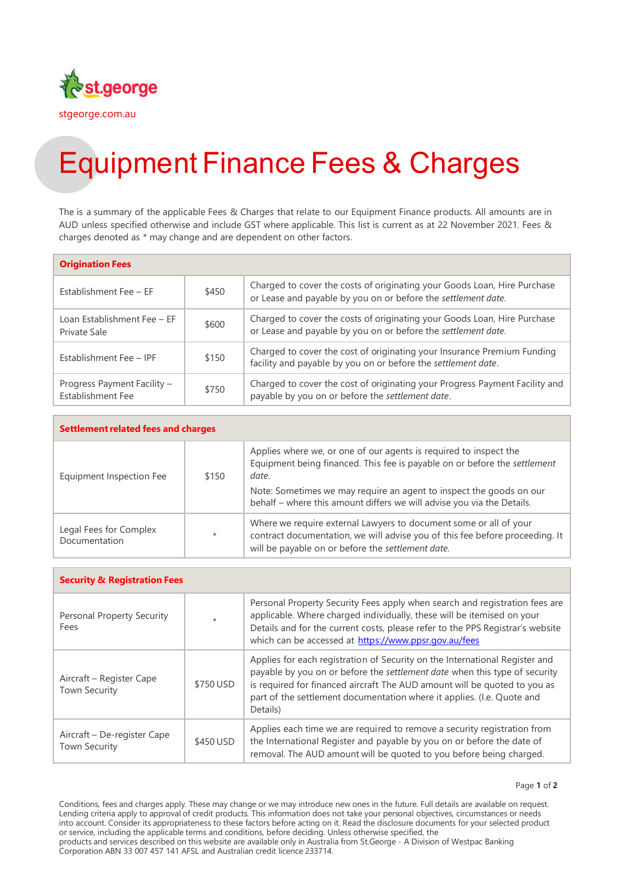

## Equipment Finance Fees & Charges

The is a summary of the applicable Fees & Charges that relate to our Equipment Finance products. All amounts are in AUD unless specified otherwise and include GST where applicable. This list is current as at 22 November 2021. Fees & charges denoted as \* may change and are dependent on other factors.

| <b>Origination Fees</b>                          |       |                                                                                                                                           |
|--------------------------------------------------|-------|-------------------------------------------------------------------------------------------------------------------------------------------|
| Establishment Fee - EF                           | \$450 | Charged to cover the costs of originating your Goods Loan, Hire Purchase<br>or Lease and payable by you on or before the settlement date. |
| Loan Establishment Fee - EF<br>Private Sale      | \$600 | Charged to cover the costs of originating your Goods Loan, Hire Purchase<br>or Lease and payable by you on or before the settlement date. |
| Establishment Fee - IPF                          | \$150 | Charged to cover the cost of originating your Insurance Premium Funding<br>facility and payable by you on or before the settlement date.  |
| Progress Payment Facility -<br>Establishment Fee | \$750 | Charged to cover the cost of originating your Progress Payment Facility and<br>payable by you on or before the settlement date.           |

| <b>Settlement related fees and charges</b> |         |                                                                                                                                                                                                                                                                                                          |  |
|--------------------------------------------|---------|----------------------------------------------------------------------------------------------------------------------------------------------------------------------------------------------------------------------------------------------------------------------------------------------------------|--|
| Equipment Inspection Fee                   | \$150   | Applies where we, or one of our agents is required to inspect the<br>Equipment being financed. This fee is payable on or before the settlement<br>date.<br>Note: Sometimes we may require an agent to inspect the goods on our<br>behalf - where this amount differs we will advise you via the Details. |  |
| Legal Fees for Complex<br>Documentation    | $\star$ | Where we require external Lawyers to document some or all of your<br>contract documentation, we will advise you of this fee before proceeding. It<br>will be payable on or before the settlement date.                                                                                                   |  |

| <b>Security &amp; Registration Fees</b>             |           |                                                                                                                                                                                                                                                                                                                              |  |
|-----------------------------------------------------|-----------|------------------------------------------------------------------------------------------------------------------------------------------------------------------------------------------------------------------------------------------------------------------------------------------------------------------------------|--|
| Personal Property Security<br>Fees                  | $\star$   | Personal Property Security Fees apply when search and registration fees are<br>applicable. Where charged individually, these will be itemised on your<br>Details and for the current costs, please refer to the PPS Registrar's website<br>which can be accessed at https://www.ppsr.gov.au/fees                             |  |
| Aircraft – Register Cape<br><b>Town Security</b>    | \$750 USD | Applies for each registration of Security on the International Register and<br>payable by you on or before the settlement date when this type of security<br>is required for financed aircraft The AUD amount will be quoted to you as<br>part of the settlement documentation where it applies. (I.e. Quote and<br>Details) |  |
| Aircraft - De-register Cape<br><b>Town Security</b> | \$450 USD | Applies each time we are required to remove a security registration from<br>the International Register and payable by you on or before the date of<br>removal. The AUD amount will be quoted to you before being charged.                                                                                                    |  |

Page **1** of **2**

Conditions, fees and charges apply. These may change or we may introduce new ones in the future. Full details are available on request. Lending criteria apply to approval of credit products. This information does not take your personal objectives, circumstances or needs into account. Consider its appropriateness to these factors before acting on it. Read the disclosure documents for your selected product or service, including the applicable terms and conditions, before deciding. Unless otherwise specified, the products and services described on this website are available only in Australia from St.George - A Division of Westpac Banking Corporation ABN 33 007 457 141 AFSL and Australian credit licence 233714.